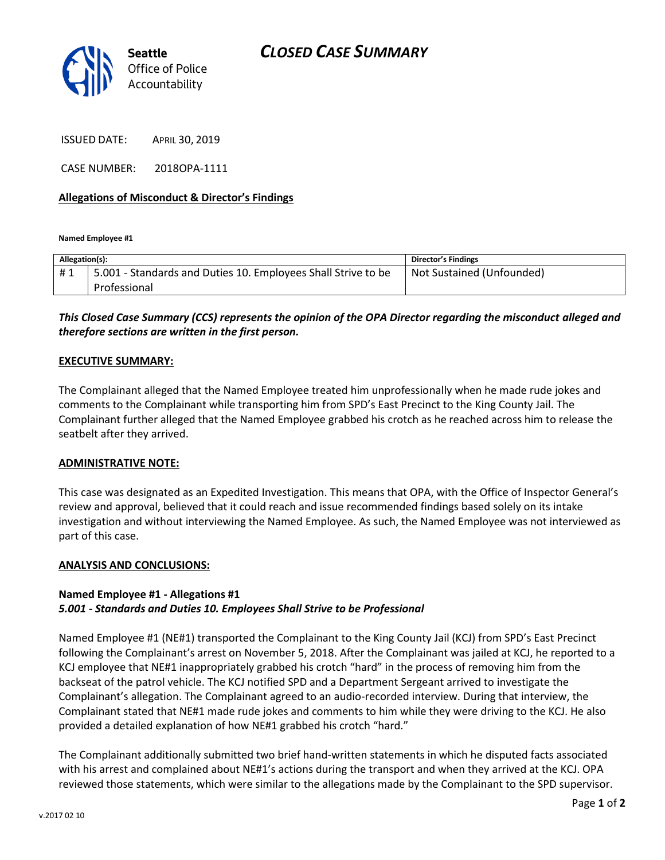

ISSUED DATE: APRIL 30, 2019

CASE NUMBER: 2018OPA-1111

## **Allegations of Misconduct & Director's Findings**

**Named Employee #1**

| Allegation(s): |                                                               | <b>Director's Findings</b> |
|----------------|---------------------------------------------------------------|----------------------------|
| #1             | 5.001 - Standards and Duties 10. Employees Shall Strive to be | Not Sustained (Unfounded)  |
|                | Professional                                                  |                            |

# *This Closed Case Summary (CCS) represents the opinion of the OPA Director regarding the misconduct alleged and therefore sections are written in the first person.*

#### **EXECUTIVE SUMMARY:**

The Complainant alleged that the Named Employee treated him unprofessionally when he made rude jokes and comments to the Complainant while transporting him from SPD's East Precinct to the King County Jail. The Complainant further alleged that the Named Employee grabbed his crotch as he reached across him to release the seatbelt after they arrived.

#### **ADMINISTRATIVE NOTE:**

This case was designated as an Expedited Investigation. This means that OPA, with the Office of Inspector General's review and approval, believed that it could reach and issue recommended findings based solely on its intake investigation and without interviewing the Named Employee. As such, the Named Employee was not interviewed as part of this case.

#### **ANALYSIS AND CONCLUSIONS:**

### **Named Employee #1 - Allegations #1** *5.001 - Standards and Duties 10. Employees Shall Strive to be Professional*

Named Employee #1 (NE#1) transported the Complainant to the King County Jail (KCJ) from SPD's East Precinct following the Complainant's arrest on November 5, 2018. After the Complainant was jailed at KCJ, he reported to a KCJ employee that NE#1 inappropriately grabbed his crotch "hard" in the process of removing him from the backseat of the patrol vehicle. The KCJ notified SPD and a Department Sergeant arrived to investigate the Complainant's allegation. The Complainant agreed to an audio-recorded interview. During that interview, the Complainant stated that NE#1 made rude jokes and comments to him while they were driving to the KCJ. He also provided a detailed explanation of how NE#1 grabbed his crotch "hard."

The Complainant additionally submitted two brief hand-written statements in which he disputed facts associated with his arrest and complained about NE#1's actions during the transport and when they arrived at the KCJ. OPA reviewed those statements, which were similar to the allegations made by the Complainant to the SPD supervisor.